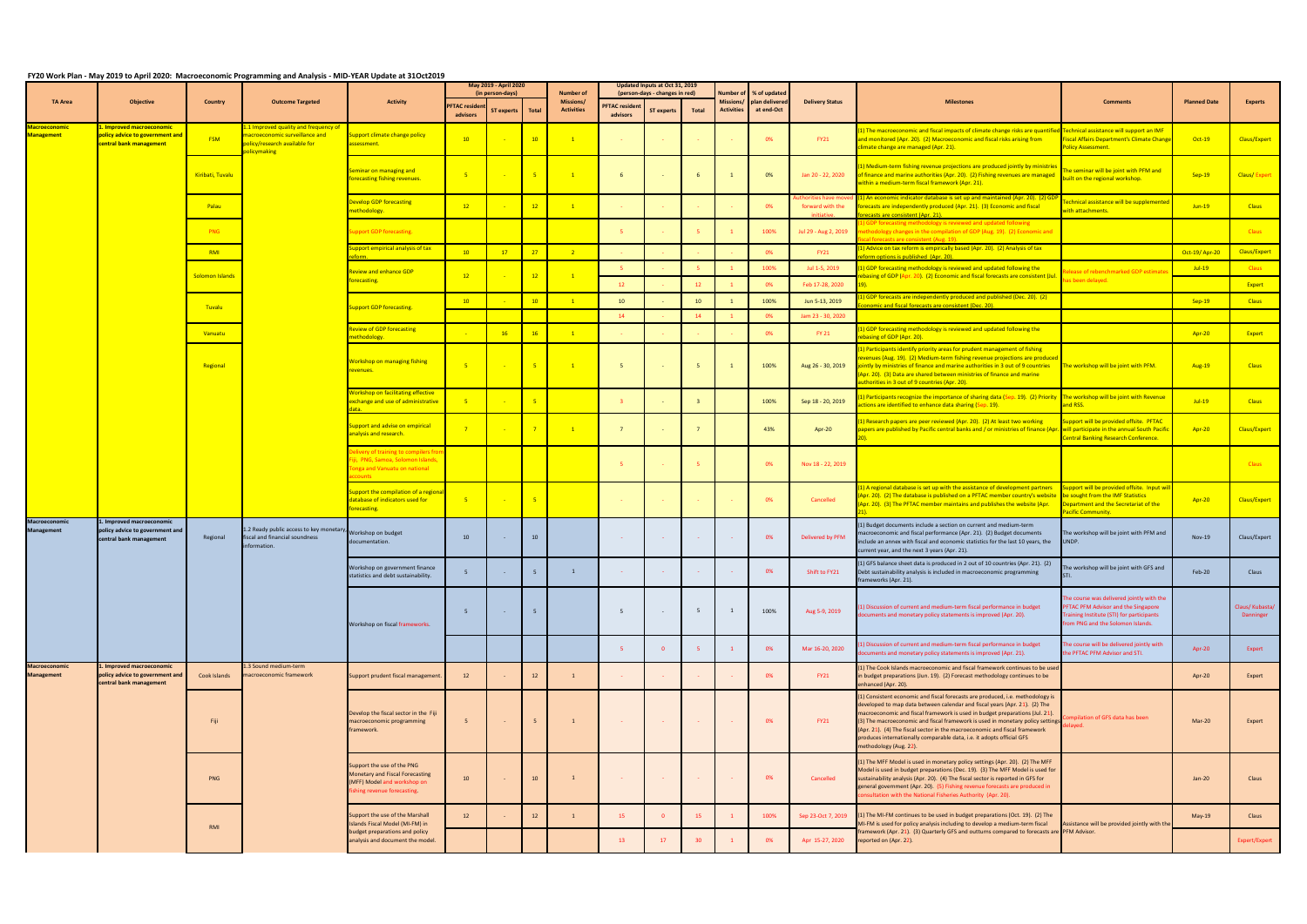## **FY20 Work Plan - May 2019 to April 2020: Macroeconomic Programming and Analysis - MID-YEAR Update at 31Oct2019**

|                                           |                                                                                        |                  | $-$ , $-$ , $-$ , $-$ , $-$ , $-$ , $-$ , $-$ , $-$ , $-$ , $-$ , $-$ , $-$ , $-$ , $-$ , $-$ , $-$ , $-$ , $-$ , $-$ , $-$ , $-$ , $-$ , $-$ , $-$ , $-$ , $-$ , $-$ , $-$ , $-$ , $-$ , $-$ , $-$ , $-$ , $-$ , $-$ , $-$ ,<br><b>Outcome Targeted</b> | <b>Activity</b>                                                                                                                   | May 2019 - April 2020<br>(in person-days) |            |                 | <b>Number of</b>               | Updated Inputs at Oct 31, 2019<br>(person-days - changes in red) |                         |                         | Number of                      | % of updated                 |                                                   |                                                                                                                                                                                                                                                                                                                                                                                                                                                                                                                |                                                                                                                                                                    |                     |                              |
|-------------------------------------------|----------------------------------------------------------------------------------------|------------------|----------------------------------------------------------------------------------------------------------------------------------------------------------------------------------------------------------------------------------------------------------|-----------------------------------------------------------------------------------------------------------------------------------|-------------------------------------------|------------|-----------------|--------------------------------|------------------------------------------------------------------|-------------------------|-------------------------|--------------------------------|------------------------------|---------------------------------------------------|----------------------------------------------------------------------------------------------------------------------------------------------------------------------------------------------------------------------------------------------------------------------------------------------------------------------------------------------------------------------------------------------------------------------------------------------------------------------------------------------------------------|--------------------------------------------------------------------------------------------------------------------------------------------------------------------|---------------------|------------------------------|
| <b>TA Area</b>                            | Objective                                                                              | Country          |                                                                                                                                                                                                                                                          |                                                                                                                                   | <b>FTAC residen</b><br>advisors           | ST experts | <b>Total</b>    | Missions/<br><b>Activities</b> | <b>PFTAC resident</b><br>advisors                                | <b>ST experts</b>       | <b>Total</b>            | Missions/<br><b>Activities</b> | plan delivered<br>at end-Oct | <b>Delivery Status</b>                            | <b>Milestones</b>                                                                                                                                                                                                                                                                                                                                                                                                                                                                                              | <b>Comments</b>                                                                                                                                                    | <b>Planned Date</b> | <b>Experts</b>               |
| <b>Macroeconomic</b><br><b>Management</b> | . Improved macroeconomic<br>policy advice to government and<br>central bank management | <b>FSM</b>       | 1.1 Improved quality and frequency of<br>nacroeconomic surveillance and<br>olicy/research available for<br>plicymaking                                                                                                                                   | upport climate change policy<br>ssessment.                                                                                        | 10                                        |            | 10              | $\overline{1}$                 |                                                                  |                         |                         |                                | 0%                           | <b>FY21</b>                                       | 1) The macroeconomic and fiscal impacts of climate change risks are quantified Technical assistance will support an IMF<br>and monitored (Apr. 20). (2) Macroeconomic and fiscal risks arising from<br>limate change are managed (Apr. 21).                                                                                                                                                                                                                                                                    | <b>Fiscal Affairs Department's Climate Change</b><br><b>Policy Assessment.</b>                                                                                     | $Oct-19$            | Claus/Expert                 |
|                                           |                                                                                        | Kiribati, Tuvalu |                                                                                                                                                                                                                                                          | eminar on managing and<br>orecasting fishing revenues.                                                                            | $-5$                                      |            | $-5$            |                                | 6                                                                |                         | 6                       |                                | 0%                           | Jan 20 - 22, 2020                                 | <mark>1) Medium-term fishing revenue projections are produced jointly by ministrie</mark><br>of finance and marine authorities (Apr. 20). (2) Fishing revenues are managed<br>vithin a medium-term fiscal framework (Apr. 21).                                                                                                                                                                                                                                                                                 | he seminar will be joint with PFM and<br>puilt on the regional workshop.                                                                                           | Sep-19              | Claus/Expert                 |
|                                           |                                                                                        | Palau            |                                                                                                                                                                                                                                                          | evelop GDP forecasting<br>nethodology.                                                                                            | 12                                        |            | 12              |                                |                                                                  |                         |                         |                                | 0%                           | orities have mo<br>forward with the<br>initiative | 1) An economic indicator database is set up and maintained (Apr. 20). (2) C<br>orecasts are independently produced (Apr. 21). (3) Economic and fiscal<br>recasts are consistent (Apr. 21).                                                                                                                                                                                                                                                                                                                     | chnical assistance will be supplemente<br>with attachments.                                                                                                        | $Jun-19$            | <b>Claus</b>                 |
|                                           |                                                                                        | PNG              |                                                                                                                                                                                                                                                          | upport GDP forecasting.                                                                                                           |                                           |            |                 |                                |                                                                  |                         |                         |                                | 100%                         | Jul 29 - Aug 2, 2019                              | ) GDP forecasting methodology is reviewed and updated following<br>ethodology changes in the compilation of GDP (Aug. 19). (2) Economic and<br>cal forecasts are consistent (Aug. 19).                                                                                                                                                                                                                                                                                                                         |                                                                                                                                                                    |                     | <b>Claus</b>                 |
|                                           |                                                                                        | RMI              |                                                                                                                                                                                                                                                          | upport empirical analysis of tax<br>form                                                                                          | 10                                        | 17         | 27              | $\overline{2}$                 |                                                                  |                         |                         |                                | 0%                           | <b>FY21</b>                                       | .) Advice on tax reform is empirically based (Apr. 20). (2) Analysis of tax<br>form options is published (Apr. 20).                                                                                                                                                                                                                                                                                                                                                                                            |                                                                                                                                                                    | Oct-19/ Apr-20      | Claus/Expert                 |
|                                           |                                                                                        | Solomon Islands  |                                                                                                                                                                                                                                                          | eview and enhance GDP                                                                                                             | 12                                        |            | 12              | $\overline{1}$                 |                                                                  |                         | 5                       |                                | 100%                         | Jul 1-5, 2019                                     | 1) GDP forecasting methodology is reviewed and updated following the<br>basing of GDP (Apr. 20). (2) Economic and fiscal forecasts are consistent (Jul.                                                                                                                                                                                                                                                                                                                                                        | lease of rebenchmarked GDP estimate                                                                                                                                | $Jul-19$            | <b>Claus</b>                 |
|                                           |                                                                                        |                  |                                                                                                                                                                                                                                                          | precasting.                                                                                                                       |                                           |            |                 |                                | 12                                                               |                         | 12                      |                                | 0%                           | Feb 17-28, 2020                                   |                                                                                                                                                                                                                                                                                                                                                                                                                                                                                                                | has been delayed.                                                                                                                                                  |                     | Expert                       |
|                                           |                                                                                        | Tuvalu           |                                                                                                                                                                                                                                                          | upport GDP forecasting.                                                                                                           | 10                                        |            | 10              | $\sqrt{1}$                     | 10                                                               |                         | 10                      | $\mathbf{1}$                   | 100%                         | Jun 5-13, 2019                                    | GDP forecasts are independently produced and published (Dec. 20). (2)<br>omic and fiscal forecasts are consistent (Dec. 20).                                                                                                                                                                                                                                                                                                                                                                                   |                                                                                                                                                                    | $Sep-19$            | <b>Claus</b>                 |
|                                           |                                                                                        |                  |                                                                                                                                                                                                                                                          |                                                                                                                                   |                                           |            |                 |                                | 14                                                               |                         | 14                      |                                | 0%                           | Jam 23 - 30, 2020                                 |                                                                                                                                                                                                                                                                                                                                                                                                                                                                                                                |                                                                                                                                                                    |                     |                              |
|                                           |                                                                                        | Vanuatu          |                                                                                                                                                                                                                                                          | eview of GDP forecasting<br>ethodology.                                                                                           |                                           | 16         | 16              |                                |                                                                  |                         |                         |                                | 0%                           | FY 21                                             | 1) GDP forecasting methodology is reviewed and updated following the<br>ebasing of GDP (Apr. 20).                                                                                                                                                                                                                                                                                                                                                                                                              |                                                                                                                                                                    | Apr-20              | Expert                       |
|                                           |                                                                                        | Regional         |                                                                                                                                                                                                                                                          | Workshop on managing fishing<br>evenues.                                                                                          | $-5$                                      |            | $-5$            | $\overline{1}$                 | $-5$                                                             |                         | 5                       |                                | 100%                         | Aug 26 - 30, 2019                                 | 1) Participants identify priority areas for prudent management of fishing<br>evenues (Aug. 19). (2) Medium-term fishing revenue projections are produced<br>ointly by ministries of finance and marine authorities in 3 out of 9 countries<br>(Apr. 20). (3) Data are shared between ministries of finance and marine<br>uthorities in 3 out of 9 countries (Apr. 20).                                                                                                                                         | The workshop will be joint with PFM.                                                                                                                               | Aug-19              | <b>Claus</b>                 |
|                                           |                                                                                        |                  |                                                                                                                                                                                                                                                          | Vorkshop on facilitating effective<br>xchange and use of administrative                                                           | $-5$                                      |            | - 5             |                                | $\overline{\mathbf{3}}$                                          |                         | $\overline{\mathbf{3}}$ |                                | 100%                         | Sep 18 - 20, 2019                                 | 1) Participants recognize the importance of sharing data (Sep. 19). (2) Priority The workshop will be joint with Revenue<br>ctions are identified to enhance data sharing (Sep. 19).                                                                                                                                                                                                                                                                                                                           | and RSS.                                                                                                                                                           | $Jul-19$            | <b>Claus</b>                 |
|                                           |                                                                                        |                  |                                                                                                                                                                                                                                                          | upport and advise on empirical<br>nalysis and research.                                                                           | $\overline{7}$                            |            | $\overline{7}$  |                                | $\overline{7}$                                                   |                         | $\overline{7}$          |                                | 43%                          | Apr-20                                            | 1) Research papers are peer reviewed (Apr. 20). (2) At least two working<br>iapers are published by Pacific central banks and / or ministries of finance (Apr. "will participate in the annual South Pacifi                                                                                                                                                                                                                                                                                                    | upport will be provided offsite. PFTAC<br><b>Central Banking Research Conference.</b>                                                                              | Apr-20              | Claus/Expert                 |
|                                           |                                                                                        |                  |                                                                                                                                                                                                                                                          | elivery of training to compilers fro<br>ji, PNG, Samoa, Solomon Islands,<br>onga and Vanuatu on national<br><b>Counts Count</b> s |                                           |            |                 |                                |                                                                  |                         | -5                      |                                | 0%                           | Nov 18 - 22, 2019                                 |                                                                                                                                                                                                                                                                                                                                                                                                                                                                                                                |                                                                                                                                                                    |                     | <b>Claus</b>                 |
|                                           |                                                                                        |                  |                                                                                                                                                                                                                                                          | upport the compilation of a regiona<br>latabase of indicators used for<br>precasting.                                             |                                           |            | - 5             |                                |                                                                  |                         |                         |                                | 0%                           | Cancelled                                         | 1) A regional database is set up with the assistance of development partners<br>[Apr. 20]. (2) The database is published on a PFTAC member country's website<br>(Apr. 20). (3) The PFTAC member maintains and publishes the website (Apr.                                                                                                                                                                                                                                                                      | Support will be provided offsite. Input wi<br>be sought from the IMF Statistics<br>Department and the Secretariat of the<br>Pacific Community.                     | Apr-20              | Claus/Expert                 |
| Macroeconomic<br><b>Management</b>        | . Improved macroeconomic<br>policy advice to government and<br>central bank management | Regional         | 1.2 Ready public access to key monetary<br>fiscal and financial soundness<br>nformation.                                                                                                                                                                 | Workshop on budget<br>documentation.                                                                                              | 10                                        | $\sim$     | 10              |                                | <b>College</b>                                                   | <b>Contract</b>         | $\sim 10^{-1}$          |                                | 0%                           | Delivered by PFM                                  | (1) Budget documents include a section on current and medium-term<br>macroeconomic and fiscal performance (Apr. 21). (2) Budget documents<br>nclude an annex with fiscal and economic statistics for the last 10 years, the<br>current year, and the next 3 years (Apr. 21).                                                                                                                                                                                                                                   | The workshop will be joint with PFM and<br>UNDP.                                                                                                                   | <b>Nov-19</b>       | Claus/Expert                 |
|                                           |                                                                                        |                  |                                                                                                                                                                                                                                                          | Workshop on government finance<br>statistics and debt sustainability.                                                             | - 5                                       | $\sim 100$ |                 |                                |                                                                  |                         |                         |                                | <b>U%</b>                    | Shift to FY21                                     | (1) GFS balance sheet data is produced in 2 out of 10 countries (Apr. 21). (2)<br>Debt sustainability analysis is included in macroeconomic programming<br>frameworks (Apr. 21).                                                                                                                                                                                                                                                                                                                               | The workshop will be joint with GFS and                                                                                                                            | Feb-20              | Claus                        |
|                                           |                                                                                        |                  |                                                                                                                                                                                                                                                          | Workshop on fiscal frameworks.                                                                                                    | 5                                         | $\sim 100$ | - 5             |                                | - 5                                                              | $\sim$ $-$              | 5                       | -1                             | 100%                         | Aug 5-9, 2019                                     | 1) Discussion of current and medium-term fiscal performance in budget<br>documents and monetary policy statements is improved (Apr. 20).                                                                                                                                                                                                                                                                                                                                                                       | The course was delivered jointly with the<br>PFTAC PFM Advisor and the Singapore<br>Training Institute (STI) for participants<br>from PNG and the Solomon Islands. |                     | Claus/ Kubasta/<br>Danninger |
|                                           |                                                                                        |                  |                                                                                                                                                                                                                                                          |                                                                                                                                   |                                           |            |                 |                                | - 5                                                              | $\overline{0}$          | 5 <sup>7</sup>          | $\mathbf{1}$                   | 0%                           | Mar 16-20, 2020                                   | 1) Discussion of current and medium-term fiscal performance in budget<br>locuments and monetary policy statements is improved (Apr. 21).                                                                                                                                                                                                                                                                                                                                                                       | The course will be delivered jointly with<br>the PFTAC PFM Advisor and STI.                                                                                        | Apr-20              | Expert                       |
| <b>Macroeconomic</b><br><b>Management</b> | . Improved macroeconomic<br>policy advice to government and<br>central bank management | Cook Islands     | 1.3 Sound medium-term<br>macroeconomic framework                                                                                                                                                                                                         | Support prudent fiscal management.                                                                                                | 12                                        |            | 12              | $\mathbf{1}$                   |                                                                  |                         |                         |                                | 0%                           | <b>FY21</b>                                       | (1) The Cook Islands macroeconomic and fiscal framework continues to be used<br>in budget preparations (Jun. 19). (2) Forecast methodology continues to be<br>enhanced (Apr. 20).                                                                                                                                                                                                                                                                                                                              |                                                                                                                                                                    | Apr-20              | Expert                       |
|                                           |                                                                                        | Fiji             |                                                                                                                                                                                                                                                          | Develop the fiscal sector in the Fiji<br>macroeconomic programming<br>framework.                                                  | 5                                         |            |                 | $\overline{1}$                 |                                                                  | <b>Contract</b>         | <b>Carlos</b>           |                                | 0%                           | <b>FY21</b>                                       | 1) Consistent economic and fiscal forecasts are produced, i.e. methodology is<br>developed to map data between calendar and fiscal years (Apr. 21). (2) The<br>macroeconomic and fiscal framework is used in budget preparations (Jul. 21).<br>(3) The macroeconomic and fiscal framework is used in monetary policy settings<br>(Apr. 21). (4) The fiscal sector in the macroeconomic and fiscal framework<br>produces internationally comparable data, i.e. it adopts official GFS<br>methodology (Aug. 22). | pilation of GFS data has been                                                                                                                                      | Mar-20              | Expert                       |
|                                           |                                                                                        | PNG<br>RMI       |                                                                                                                                                                                                                                                          | Support the use of the PNG<br>Monetary and Fiscal Forecasting<br>(MFF) Model and workshop on<br>shing revenue forecasting.        | 10                                        |            | 10 <sup>°</sup> | $\overline{1}$                 |                                                                  | <b>Contract</b>         | <b>Contract</b>         |                                | 0%                           | Cancelled                                         | (1) The MFF Model is used in monetary policy settings (Apr. 20). (2) The MFF<br>Model is used in budget preparations (Dec. 19). (3) The MFF Model is used for<br>sustainability analysis (Apr. 20). (4) The fiscal sector is reported in GFS for<br>general government (Apr. 20). (5) Fishing revenue forecasts are produced in<br>Isultation with the National Fisheries Authority (Apr. 20).                                                                                                                 |                                                                                                                                                                    | $Jan-20$            | Claus                        |
|                                           |                                                                                        |                  |                                                                                                                                                                                                                                                          | Support the use of the Marshall<br>Islands Fiscal Model (MI-FM) in                                                                | 12                                        |            | 12              | $\mathbf{1}$                   | 15                                                               | $\overline{\mathbf{0}}$ | 15                      | $\mathbf{1}$                   | 100%                         | Sep 23-Oct 7, 2019                                | (1) The MI-FM continues to be used in budget preparations (Oct. 19). (2) The<br>MI-FM is used for policy analysis including to develop a medium-term fiscal                                                                                                                                                                                                                                                                                                                                                    | Assistance will be provided jointly with th                                                                                                                        | May-19              | Claus                        |
|                                           |                                                                                        |                  |                                                                                                                                                                                                                                                          | budget preparations and policy<br>analysis and document the model.                                                                |                                           |            |                 |                                | <b>13</b>                                                        | 17                      | 30 <sub>o</sub>         |                                | 0%                           | Apr 15-27, 2020                                   | framework (Apr. 21). (3) Quarterly GFS and outturns compared to forecasts are PFM Advisor.<br>reported on (Apr. 22).                                                                                                                                                                                                                                                                                                                                                                                           |                                                                                                                                                                    |                     | Expert/Expert                |